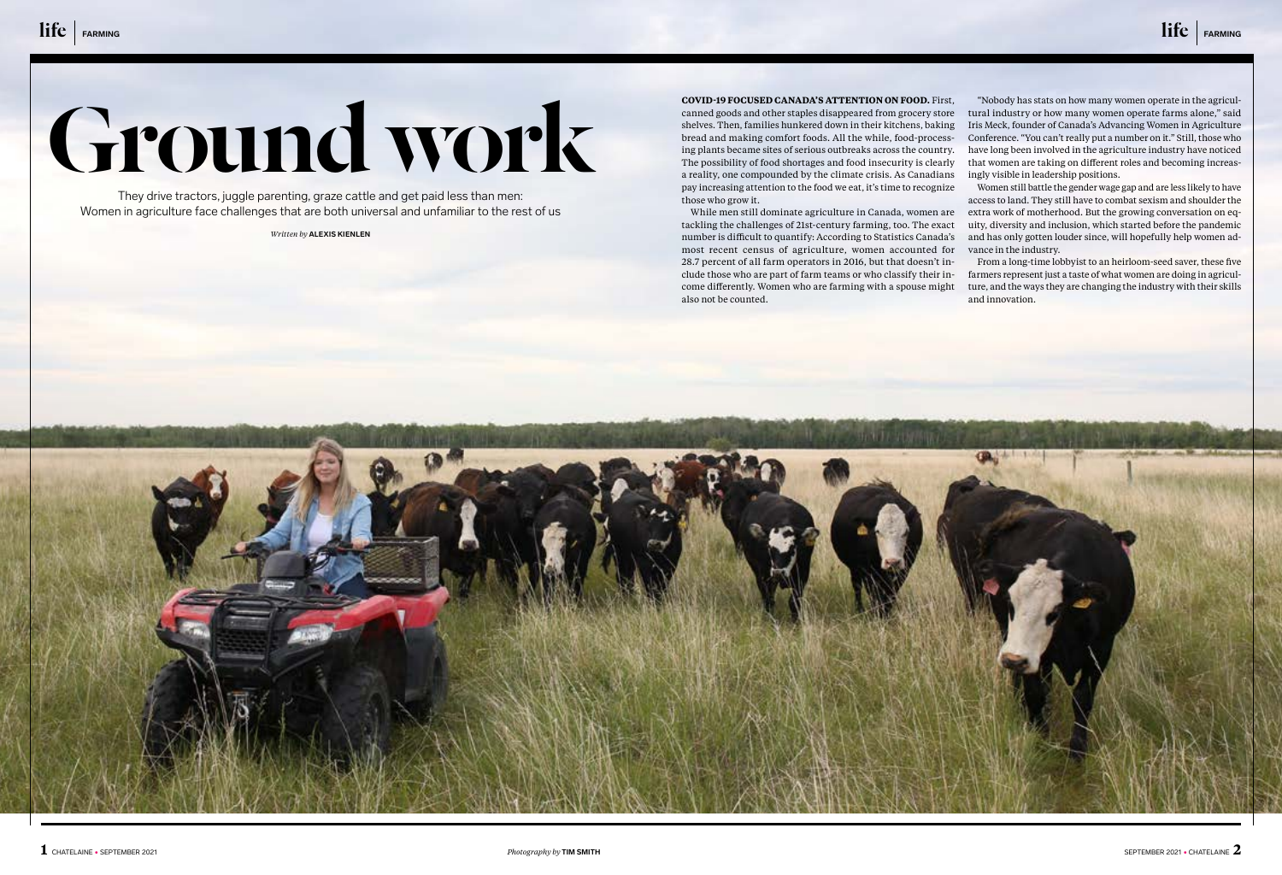# **COVID-19 FOCUSED CANADA'S ATTENTION ON FOOD.** First,

canned goods and other staples disappeared from grocery store shelves. Then, families hunkered down in their kitchens, baking bread and making comfort foods. All the while, food-processing plants became sites of serious outbreaks across the country. The possibility of food shortages and food insecurity is clearly a reality, one compounded by the climate crisis. As Canadians pay increasing attention to the food we eat, it's time to recognize those who grow it.

While men still dominate agriculture in Canada, women are tackling the challenges of 21st-century farming, too. The exact number is difficult to quantify: According to Statistics Canada's most recent census of agriculture, women accounted for 28.7 percent of all farm operators in 2016, but that doesn't include those who are part of farm teams or who classify their income differently. Women who are farming with a spouse might also not be counted.

"Nobody has stats on how many women operate in the agricultural industry or how many women operate farms alone," said Iris Meck, founder of Canada's Advancing Women in Agriculture Conference. "You can't really put a number on it." Still, those who have long been involved in the agriculture industry have noticed that women are taking on different roles and becoming increasingly visible in leadership positions.

Women still battle the gender wage gap and are less likely to have access to land. They still have to combat sexism and shoulder the extra work of motherhood. But the growing conversation on equity, diversity and inclusion, which started before the pandemic and has only gotten louder since, will hopefully help women advance in the industry.

From a long-time lobbyist to an heirloom-seed saver, these five farmers represent just a taste of what women are doing in agriculture, and the ways they are changing the industry with their skills

and innovation.



They drive tractors, juggle parenting, graze cattle and get paid less than men: Women in agriculture face challenges that are both universal and unfamiliar to the rest of us

*Written by* **ALEXIS KIENLEN**

# Ground work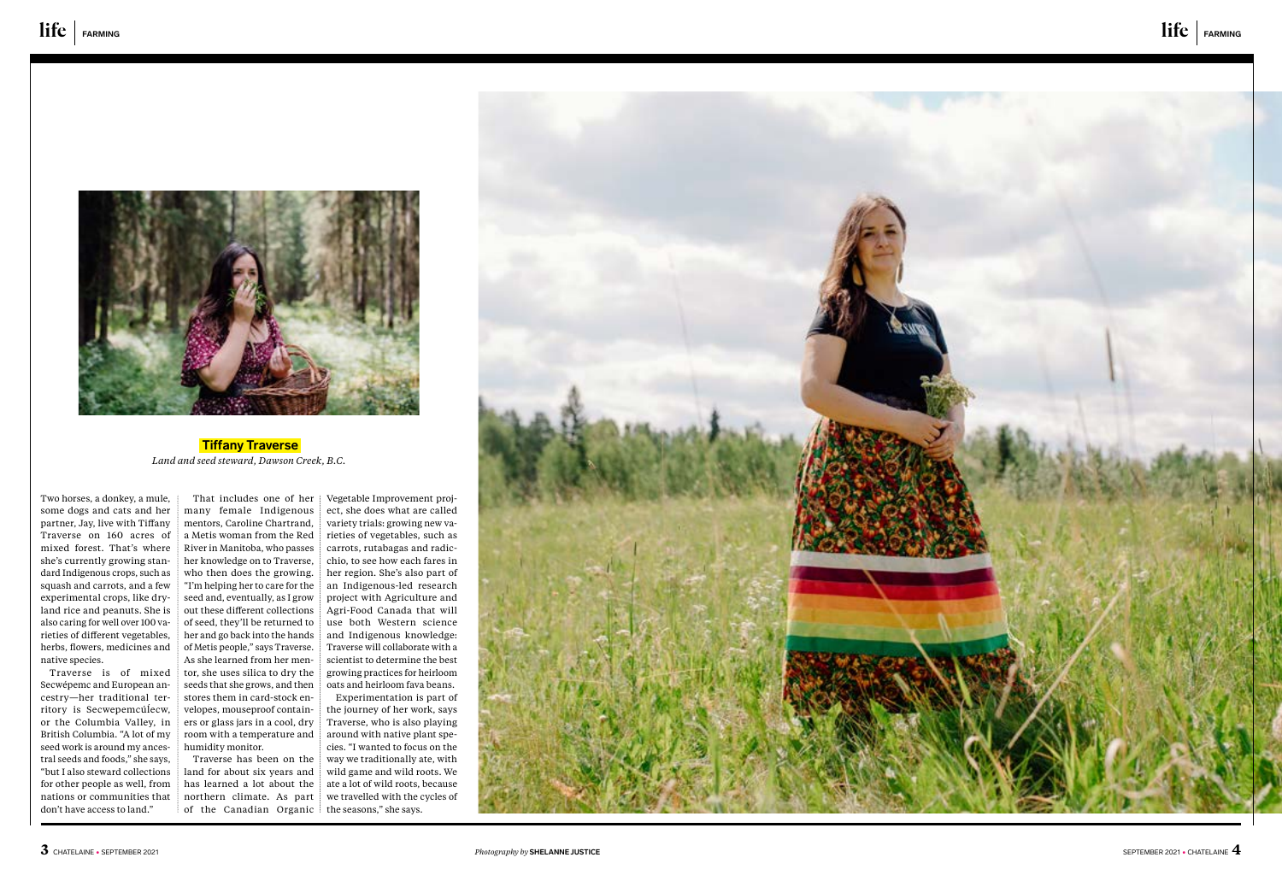

 **Tiffany Traverse**  *Land and seed steward, Dawson Creek, B.C.* 

Two horses, a donkey, a mule, some dogs and cats and her partner, Jay, live with Tiffany Traverse on 160 acres of mixed forest. That's where she's currently growing standard Indigenous crops, such as squash and carrots, and a few experimental crops, like dryland rice and peanuts. She is also caring for well over 100 varieties of different vegetables, herbs, flowers, medicines and native species.

Traverse is of mixed Secwépemc and European ancestry—her traditional territory is Secwepemcúĺecw, or the Columbia Valley, in British Columbia. "A lot of my seed work is around my ancestral seeds and foods," she says, "but I also steward collections for other people as well, from nations or communities that don't have access to land."

Traverse has been on the land for about six years and has learned a lot about the northern climate. As part of the Canadian Organic the seasons," she says.

That includes one of her many female Indigenous mentors, Caroline Chartrand, a Metis woman from the Red River in Manitoba, who passes her knowledge on to Traverse, who then does the growing. "I'm helping her to care for the seed and, eventually, as I grow out these different collections of seed, they'll be returned to her and go back into the hands of Metis people," says Traverse. As she learned from her mentor, she uses silica to dry the seeds that she grows, and then stores them in card-stock envelopes, mouseproof containers or glass jars in a cool, dry room with a temperature and humidity monitor.

Vegetable Improvement project, she does what are called variety trials: growing new varieties of vegetables, such as carrots, rutabagas and radicchio, to see how each fares in her region. She's also part of an Indigenous-led research project with Agriculture and Agri-Food Canada that will use both Western science and Indigenous knowledge: Traverse will collaborate with a scientist to determine the best growing practices for heirloom oats and heirloom fava beans.

Experimentation is part of the journey of her work, says Traverse, who is also playing around with native plant species. "I wanted to focus on the way we traditionally ate, with wild game and wild roots. We ate a lot of wild roots, because we travelled with the cycles of

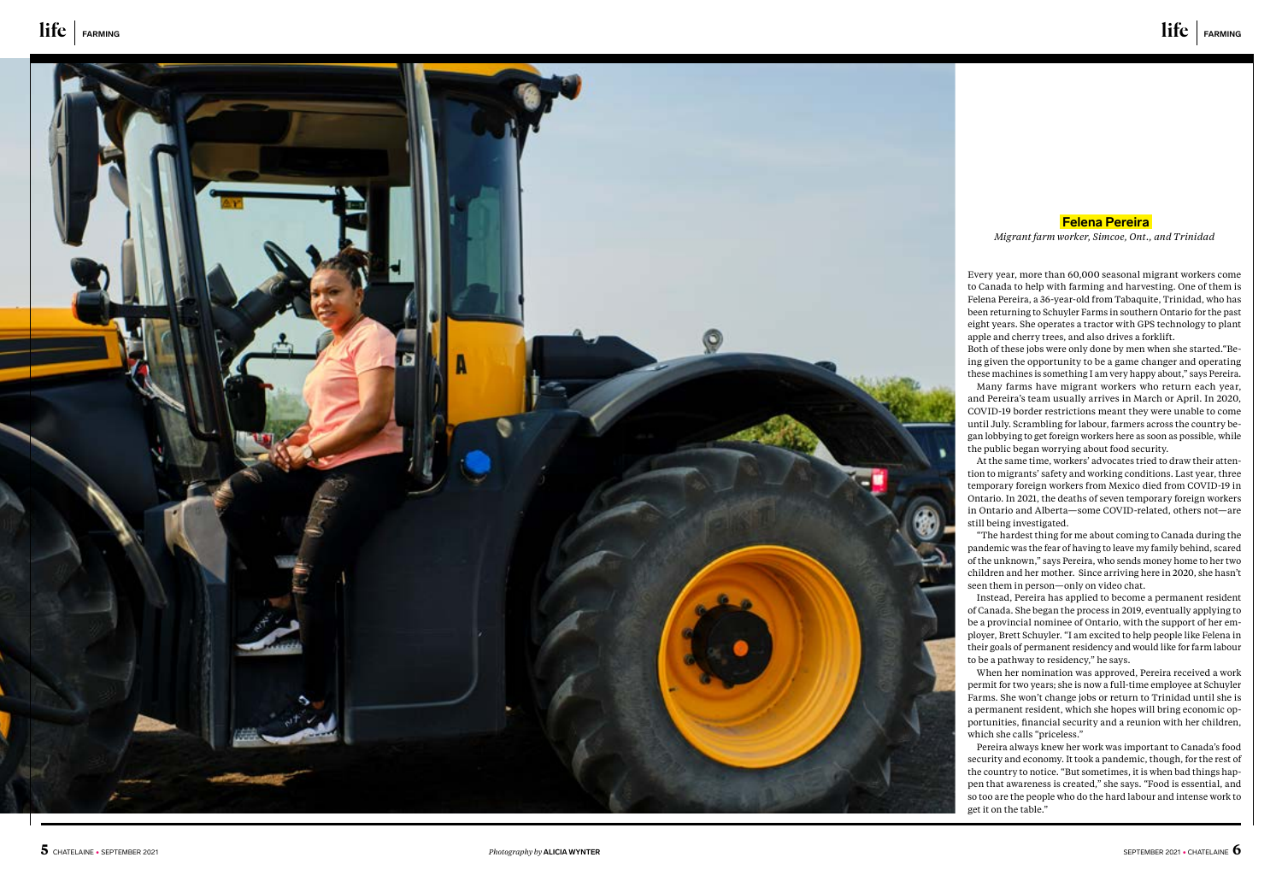

Every year, more than 60,000 seasonal migrant workers come to Canada to help with farming and harvesting. One of them is Felena Pereira, a 36-year-old from Tabaquite, Trinidad, who has been returning to Schuyler Farms in southern Ontario for the past eight years. She operates a tractor with GPS technology to plant apple and cherry trees, and also drives a forklift.

Both of these jobs were only done by men when she started."Be ing given the opportunity to be a game changer and operating these machines is something I am very happy about," says Pereira. Many farms have migrant workers who return each year, and Pereira's team usually arrives in March or April. In 2020, COVID-19 border restrictions meant they were unable to come until July. Scrambling for labour, farmers across the country be gan lobbying to get foreign workers here as soon as possible, while the public began worrying about food security.

At the same time, workers' advocates tried to draw their atten tion to migrants' safety and working conditions. Last year, three temporary foreign workers from Mexico died from COVID-19 in Ontario. In 2021, the deaths of seven temporary foreign workers in Ontario and Alberta—some COVID-related, others not—are still being investigated.

"The hardest thing for me about coming to Canada during the pandemic was the fear of having to leave my family behind, scared of the unknown," says Pereira, who sends money home to her two children and her mother. Since arriving here in 2020, she hasn't seen them in person—only on video chat.

Instead, Pereira has applied to become a permanent resident of Canada. She began the process in 2019, eventually applying to be a provincial nominee of Ontario, with the support of her em ployer, Brett Schuyler. "I am excited to help people like Felena in their goals of permanent residency and would like for farm labour to be a pathway to residency," he says.

When her nomination was approved, Pereira received a work permit for two years; she is now a full-time employee at Schuyler Farms. She won't change jobs or return to Trinidad until she is a permanent resident, which she hopes will bring economic op portunities, financial security and a reunion with her children, which she calls "priceless."

Pereira always knew her work was important to Canada's food security and economy. It took a pandemic, though, for the rest of the country to notice. "But sometimes, it is when bad things hap pen that awareness is created," she says. "Food is essential, and so too are the people who do the hard labour and intense work to get it on the table."



### **Felena Pereira**

*Migrant farm worker, Simcoe, Ont., and Trinidad*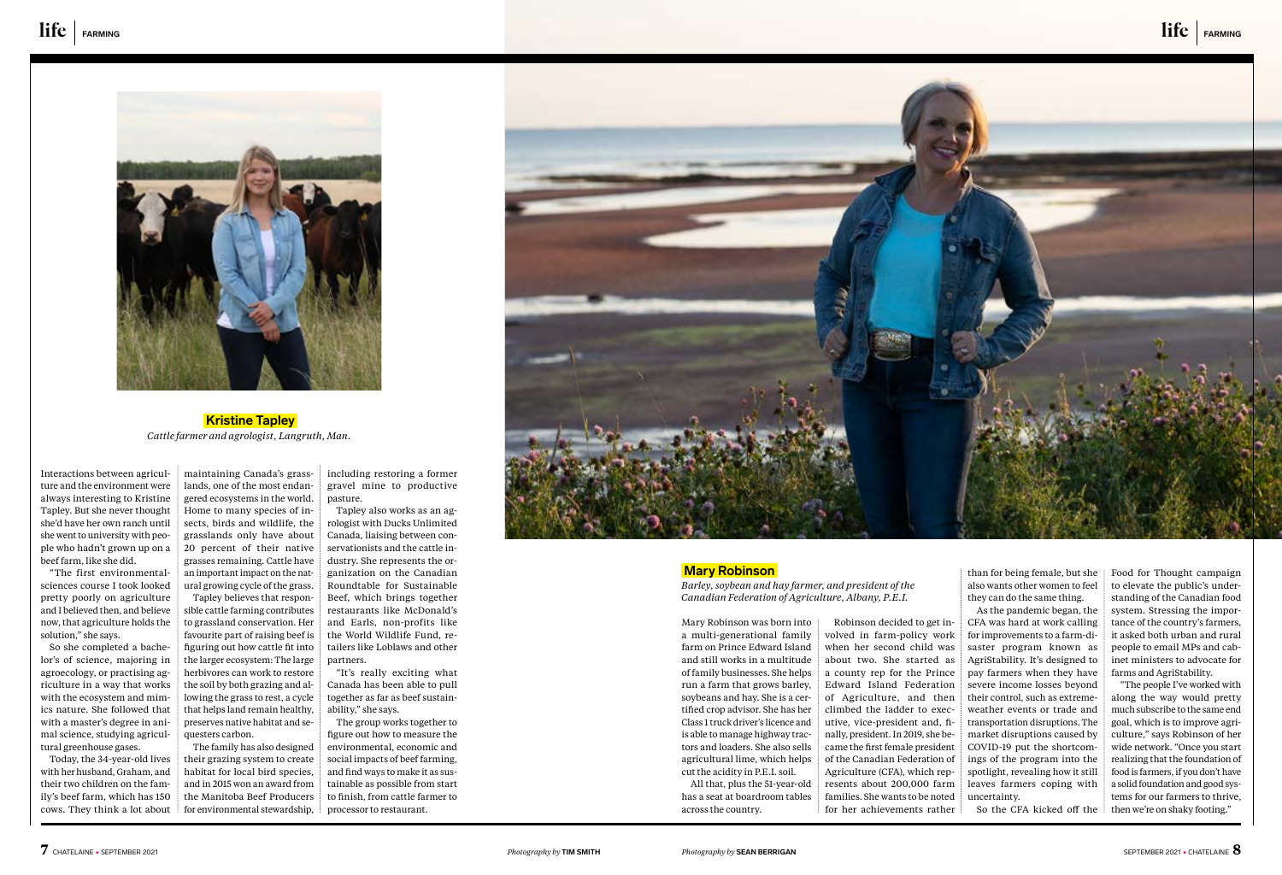Interactions between agriculture and the environment were always interesting to Kristine Tapley. But she never thought she'd have her own ranch until she went to university with people who hadn't grown up on a beef farm, like she did.

"The first environmentalsciences course I took looked pretty poorly on agriculture and I believed then, and believe now, that agriculture holds the solution," she says.

So she completed a bachelor's of science, majoring in agroecology, or practising agriculture in a way that works with the ecosystem and mimics nature. She followed that with a master's degree in animal science, studying agricultural greenhouse gases.

Today, the 34-year-old lives with her husband, Graham, and their two children on the family's beef farm, which has 150 cows. They think a lot about

maintaining Canada's grasslands, one of the most endangered ecosystems in the world. Home to many species of insects, birds and wildlife, the grasslands only have about 20 percent of their native grasses remaining. Cattle have an important impact on the natural growing cycle of the grass. Tapley believes that responsible cattle farming contributes to grassland conservation. Her favourite part of raising beef is figuring out how cattle fit into the larger ecosystem: The large herbivores can work to restore the soil by both grazing and al-

lowing the grass to rest, a cycle that helps land remain healthy, preserves native habitat and sequesters carbon. The family has also designed

their grazing system to create habitat for local bird species, and in 2015 won an award from the Manitoba Beef Producers for environmental stewardship,

including restoring a former gravel mine to productive pasture.

Tapley also works as an agrologist with Ducks Unlimited Canada, liaising between conservationists and the cattle industry. She represents the organization on the Canadian Roundtable for Sustainable Beef, which brings together restaurants like McDonald's and Earls, non-profits like the World Wildlife Fund, retailers like Loblaws and other partners.

"It's really exciting what Canada has been able to pull together as far as beef sustainability," she says.

The group works together to figure out how to measure the environmental, economic and social impacts of beef farming, and find ways to make it as sustainable as possible from start to finish, from cattle farmer to processor to restaurant.





 **Kristine Tapley**  *Cattle farmer and agrologist, Langruth, Man.* 

than for being female, but she also wants other women to feel they can do the same thing.

As the pandemic began, the CFA was hard at work calling for improvements to a farm-disaster program known as AgriStability. It's designed to pay farmers when they have severe income losses beyond their control, such as extremeweather events or trade and transportation disruptions. The market disruptions caused by COVID-19 put the shortcomings of the program into the spotlight, revealing how it still leaves farmers coping with

So the CFA kicked off the

Food for Thought campaign to elevate the public's understanding of the Canadian food system. Stressing the importance of the country's farmers, it asked both urban and rural people to email MPs and cabinet ministers to advocate for farms and AgriStability.

"The people I've worked with along the way would pretty much subscribe to the same end goal, which is to improve agriculture," says Robinson of her wide network. "Once you start realizing that the foundation of food is farmers, if you don't have a solid foundation and good systems for our farmers to thrive, then we're on shaky footing."

### **Mary Robinson**

*Barley, soybean and hay farmer, and president of the Canadian Federation of Agriculture, Albany, P.E.I.* 

uncertainty. Robinson decided to get involved in farm-policy work when her second child was about two. She started as a county rep for the Prince Edward Island Federation of Agriculture, and then climbed the ladder to executive, vice-president and, finally, president. In 2019, she became the first female president of the Canadian Federation of Agriculture (CFA), which represents about 200,000 farm families. She wants to be noted for her achievements rather

Mary Robinson was born into a multi-generational family farm on Prince Edward Island and still works in a multitude of family businesses. She helps run a farm that grows barley, soybeans and hay. She is a certified crop advisor. She has her Class 1 truck driver's licence and is able to manage highway tractors and loaders. She also sells agricultural lime, which helps cut the acidity in P.E.I. soil.

All that, plus the 51-year-old has a seat at boardroom tables across the country.

life **FARMING**